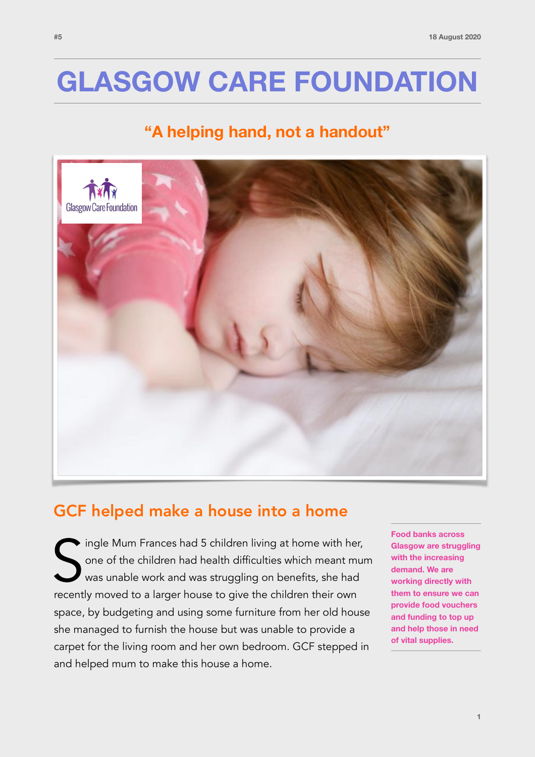# **GLASGOW CARE FOUNDATION**

### **"A helping hand, not a handout"**



### GCF helped make a house into a home

Ingle Mum Frances had 5 children living at home with her<br>
one of the children had health difficulties which meant mum<br>
was unable work and was struggling on benefits, she had<br>
recently moved to a larger house to give the c ingle Mum Frances had 5 children living at home with her, one of the children had health difficulties which meant mum was unable work and was struggling on benefits, she had space, by budgeting and using some furniture from her old house she managed to furnish the house but was unable to provide a carpet for the living room and her own bedroom. GCF stepped in and helped mum to make this house a home.

**Food banks across Glasgow are struggling with the increasing demand. We are working directly with them to ensure we can provide food vouchers and funding to top up and help those in need of vital supplies.**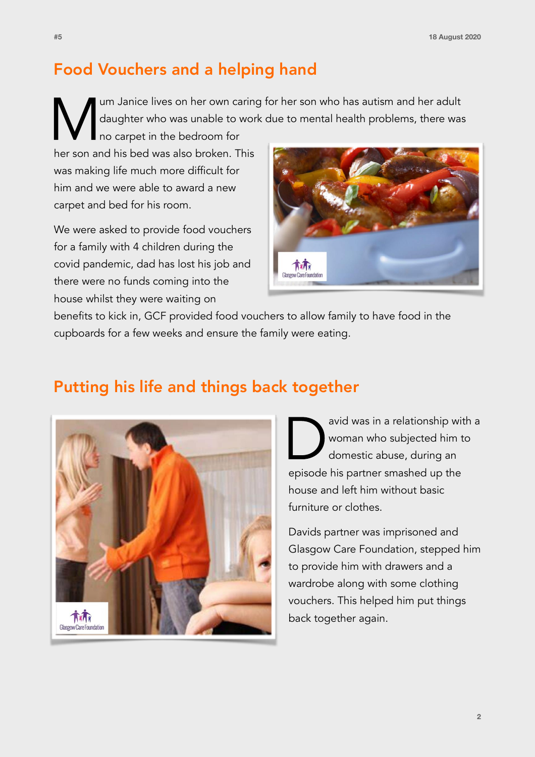## Food Vouchers and a helping hand

Im Janice lives on her own caring for her son who has autism and her adult<br>daughter who was unable to work due to mental health problems, there was<br>no carpet in the bedroom for<br>her son and his bed was also broken. This daughter who was unable to work due to mental health problems, there was

no carpet in the bedroom for her son and his bed was also broken. This was making life much more difficult for him and we were able to award a new carpet and bed for his room.

We were asked to provide food vouchers for a family with 4 children during the covid pandemic, dad has lost his job and there were no funds coming into the house whilst they were waiting on



benefits to kick in, GCF provided food vouchers to allow family to have food in the cupboards for a few weeks and ensure the family were eating.

#### Putting his life and things back together



avid was in a relationship with a woman who subjected him to domestic abuse, during an episode his partner smashed up the house and left him without basic furniture or clothes.

Davids partner was imprisoned and Glasgow Care Foundation, stepped him to provide him with drawers and a wardrobe along with some clothing vouchers. This helped him put things back together again.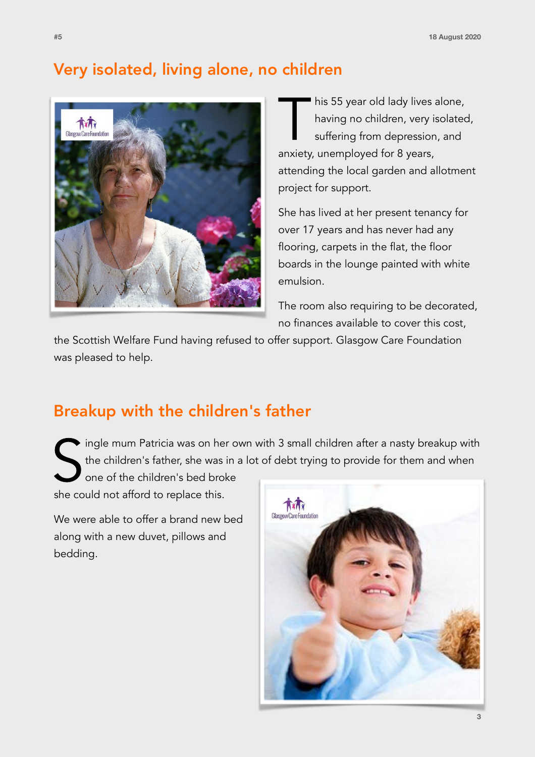#### Very isolated, living alone, no children



This 55 year old lady lives alone,<br>having no children, very isolated<br>suffering from depression, and<br>anxiety unemployed for 8 years having no children, very isolated, suffering from depression, and anxiety, unemployed for 8 years, attending the local garden and allotment project for support.

She has lived at her present tenancy for over 17 years and has never had any flooring, carpets in the flat, the floor boards in the lounge painted with white emulsion.

The room also requiring to be decorated, no finances available to cover this cost,

the Scottish Welfare Fund having refused to offer support. Glasgow Care Foundation was pleased to help.

### Breakup with the children's father

ingle mum Patricia was on her own with 3 small children after a nasty breakup with the children's father, she was in a lot of debt trying to provide for them and when

Single mum Patricia was on her<br>the children's father, she was i<br>one of the children's bed brok<br>she could not afford to replace this. one of the children's bed broke

We were able to offer a brand new bed along with a new duvet, pillows and bedding.